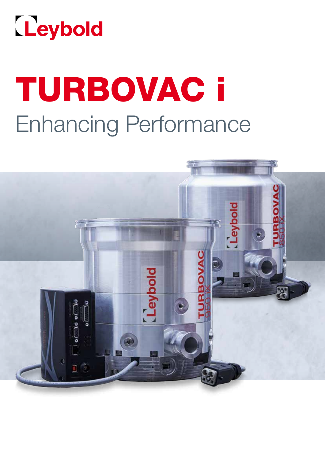

# TURBOVAC i Enhancing Performance

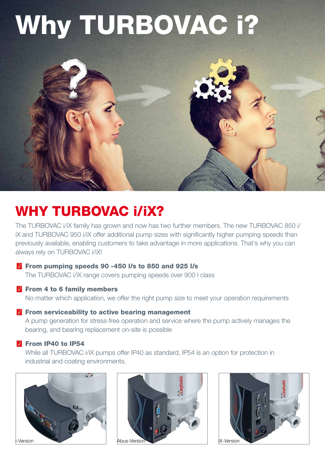# Why TURBOVAC i?



# WHY TURBOVAC i/iX?

The TURBOVAC i/iX family has grown and now has two further members. The new TURBOVAC 850 i/ iX and TURBOVAC 950 i/iX offer additional pump sizes with significantly higher pumping speeds than previously available, enabling customers to take advantage in more applications. That's why you can always rely on TURBOVAC i/iX!

## **M** From pumping speeds 90 -450 l/s to 850 and 925 l/s

The TURBOVAC i/iX range covers pumping speeds over 900 l class

### $\blacksquare$  From 4 to 6 family members

No matter which application, we offer the right pump size to meet your operation requirements

### $\blacksquare$  From serviceability to active bearing management

A pump generation for stress-free operation and service where the pump actively manages the bearing, and bearing replacement on-site is possible

### From IP40 to IP54

While all TURBOVAC i/iX pumps offer IP40 as standard, IP54 is an option for protection in industrial and coating environments.





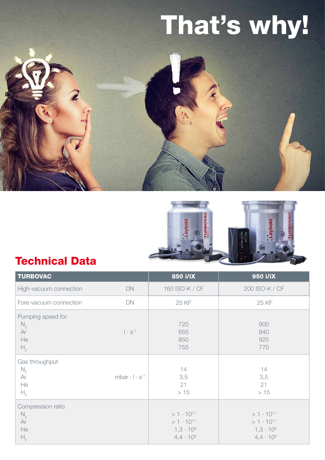# That's why!





## Technical Data

| <b>TURBOVAC</b>                                                                            | 850 i/iX                                                                             | 950 i/iX                                                                             |
|--------------------------------------------------------------------------------------------|--------------------------------------------------------------------------------------|--------------------------------------------------------------------------------------|
| High-vacuum connection<br><b>DN</b>                                                        | 160 ISO-K / CF                                                                       | 200 ISO-K / CF                                                                       |
| DN<br>Fore-vacuum connection                                                               | 25 KF                                                                                | 25 KF                                                                                |
| Pumping speed for<br>$N_{2}$<br>Ar<br>$ \cdot s^{-1} $<br>He<br>$H_{2}$                    | 720<br>655<br>850<br>755                                                             | 900<br>840<br>925<br>770                                                             |
| Gas throughput<br>$N_{2}$<br>mbar $\cdot$   $\cdot$ s <sup>-1</sup><br>Ar<br>He<br>$H_{2}$ | 14<br>3,5<br>21<br>>15                                                               | 14<br>3,5<br>21<br>>15                                                               |
| Compression ratio<br>$N_{2}$<br>Ar<br>He<br>H <sub>2</sub>                                 | $>1 \cdot 10^{11}$<br>$>1 \cdot 10^{11}$<br>$1,3 \cdot 10^{8}$<br>$4,4 \cdot 10^{6}$ | $>1 \cdot 10^{11}$<br>$>1 \cdot 10^{11}$<br>$1,3 \cdot 10^{8}$<br>$4,4 \cdot 10^{6}$ |